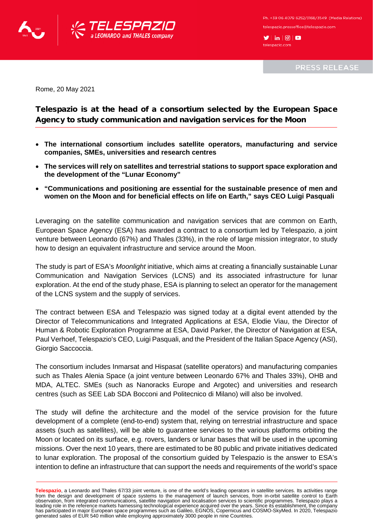

 $\blacktriangleright$  in  $\lvert \textcircled{e} \rvert$   $\blacksquare$ telespazio.com

**PRESS RELEASE** 

Rome, 20 May 2021

## Telespazio is at the head of a consortium selected by the European Space Agency to study communication and navigation services for the Moon

- **The international consortium includes satellite operators, manufacturing and service companies, SMEs, universities and research centres**
- **The services will rely on satellites and terrestrial stations to support space exploration and the development of the "Lunar Economy"**
- **"Communications and positioning are essential for the sustainable presence of men and women on the Moon and for beneficial effects on life on Earth," says CEO Luigi Pasquali**

Leveraging on the satellite communication and navigation services that are common on Earth, European Space Agency (ESA) has awarded a contract to a consortium led by Telespazio, a joint venture between Leonardo (67%) and Thales (33%), in the role of large mission integrator, to study how to design an equivalent infrastructure and service around the Moon.

The study is part of ESA's *Moonlight* initiative, which aims at creating a financially sustainable Lunar Communication and Navigation Services (LCNS) and its associated infrastructure for lunar exploration. At the end of the study phase, ESA is planning to select an operator for the management of the LCNS system and the supply of services.

The contract between ESA and Telespazio was signed today at a digital event attended by the Director of Telecommunications and Integrated Applications at ESA, Elodie Viau, the Director of Human & Robotic Exploration Programme at ESA, David Parker, the Director of Navigation at ESA, Paul Verhoef, Telespazio's CEO, Luigi Pasquali, and the President of the Italian Space Agency (ASI), Giorgio Saccoccia.

The consortium includes Inmarsat and Hispasat (satellite operators) and manufacturing companies such as Thales Alenia Space (a joint venture between Leonardo 67% and Thales 33%), OHB and MDA, ALTEC. SMEs (such as Nanoracks Europe and Argotec) and universities and research centres (such as SEE Lab SDA Bocconi and Politecnico di Milano) will also be involved.

The study will define the architecture and the model of the service provision for the future development of a complete (end-to-end) system that, relying on terrestrial infrastructure and space assets (such as satellites), will be able to guarantee services to the various platforms orbiting the Moon or located on its surface, e.g. rovers, landers or lunar bases that will be used in the upcoming missions. Over the next 10 years, there are estimated to be 80 public and private initiatives dedicated to lunar exploration. The proposal of the consortium guided by Telespazio is the answer to ESA's intention to define an infrastructure that can support the needs and requirements of the world's space

Telespazio, a Leonardo and Thales 67/33 joint venture, is one of the world's leading operators in satellite services. Its activities range<br>from the design and development of space systems to the management of launch servic leading role in the reference markets harnessing technological experience acquired over the years. Since its establishment, the company has participated in major European space programmes such as Galileo, EGNOS, Copernicus and COSMO-SkyMed. In 2020, Telespazio generated sales of EUR 540 million while employing approximately 3000 people in nine Countries.